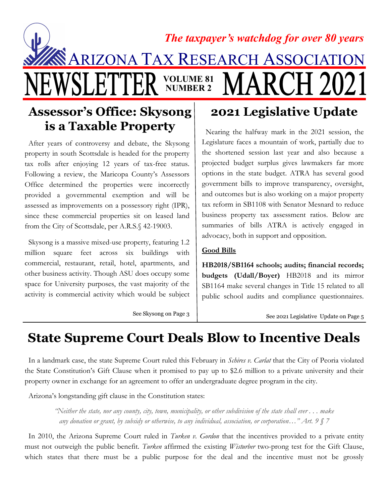# **NARIZONA TAX RESEARCH ASSOCIATIO** The taxpayer's watchdog for over 80 years VOLUME 81 NUMBER 2

### Assessor's Office: Skysong is a Taxable Property

 After years of controversy and debate, the Skysong property in south Scottsdale is headed for the property tax rolls after enjoying 12 years of tax-free status. Following a review, the Maricopa County's Assessors Office determined the properties were incorrectly provided a governmental exemption and will be assessed as improvements on a possessory right (IPR), since these commercial properties sit on leased land from the City of Scottsdale, per A.R.S.§ 42-19003.

 Skysong is a massive mixed-use property, featuring 1.2 million square feet across six buildings with commercial, restaurant, retail, hotel, apartments, and other business activity. Though ASU does occupy some space for University purposes, the vast majority of the activity is commercial activity which would be subject

### 2021 Legislative Update

 Nearing the halfway mark in the 2021 session, the Legislature faces a mountain of work, partially due to the shortened session last year and also because a projected budget surplus gives lawmakers far more options in the state budget. ATRA has several good government bills to improve transparency, oversight, and outcomes but is also working on a major property tax reform in SB1108 with Senator Mesnard to reduce business property tax assessment ratios. Below are summaries of bills ATRA is actively engaged in advocacy, both in support and opposition.

### Good Bills

HB2018/SB1164 schools; audits; financial records; budgets (Udall/Boyer) HB2018 and its mirror SB1164 make several changes in Title 15 related to all public school audits and compliance questionnaires.

See Skysong on Page 3

See 2021 Legislative Update on Page 5

## State Supreme Court Deals Blow to Incentive Deals

In a landmark case, the state Supreme Court ruled this February in *Schires v. Carlat* that the City of Peoria violated the State Constitution's Gift Clause when it promised to pay up to \$2.6 million to a private university and their property owner in exchange for an agreement to offer an undergraduate degree program in the city.

Arizona's longstanding gift clause in the Constitution states:

"Neither the state, nor any county, city, town, municipality, or other subdivision of the state shall ever . . . make any donation or grant, by subsidy or otherwise, to any individual, association, or corporation..." Art.  $9 \int 7$ 

In 2010, the Arizona Supreme Court ruled in *Turken v. Gordon* that the incentives provided to a private entity must not outweigh the public benefit. Turken affirmed the existing Wisturber two-prong test for the Gift Clause, which states that there must be a public purpose for the deal and the incentive must not be grossly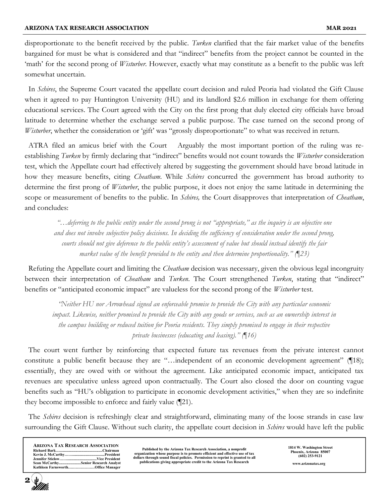disproportionate to the benefit received by the public. Turken clarified that the fair market value of the benefits bargained for must be what is considered and that "indirect" benefits from the project cannot be counted in the 'math' for the second prong of Wisturber. However, exactly what may constitute as a benefit to the public was left somewhat uncertain.

In *Schires*, the Supreme Court vacated the appellate court decision and ruled Peoria had violated the Gift Clause when it agreed to pay Huntington University (HU) and its landlord \$2.6 million in exchange for them offering educational services. The Court agreed with the City on the first prong that duly elected city officials have broad latitude to determine whether the exchange served a public purpose. The case turned on the second prong of Wisturber, whether the consideration or 'gift' was "grossly disproportionate" to what was received in return.

 ATRA filed an amicus brief with the Court Arguably the most important portion of the ruling was reestablishing *Turken* by firmly declaring that "indirect" benefits would not count towards the *Wisturber* consideration test, which the Appellate court had effectively altered by suggesting the government should have broad latitude in how they measure benefits, citing *Cheatham*. While *Schires* concurred the government has broad authority to determine the first prong of *Wisturber*, the public purpose, it does not enjoy the same latitude in determining the scope or measurement of benefits to the public. In *Schires*, the Court disapproves that interpretation of *Cheatham*, and concludes:

"…deferring to the public entity under the second prong is not "appropriate," as the inquiry is an objective one and does not involve subjective policy decisions. In deciding the sufficiency of consideration under the second prong, courts should not give deference to the public entity's assessment of value but should instead identify the fair market value of the benefit provided to the entity and then determine proportionality."  $(\ket{23})$ 

Refuting the Appellate court and limiting the *Cheatham* decision was necessary, given the obvious legal incongruity between their interpretation of *Cheatham* and Turken. The Court strengthened Turken, stating that "indirect" benefits or "anticipated economic impact" are valueless for the second prong of the *Wisturber* test.

"Neither HU nor Arrowhead signed an enforceable promise to provide the City with any particular economic impact. Likewise, neither promised to provide the City with any goods or services, such as an ownership interest in the campus building or reduced tuition for Peoria residents. They simply promised to engage in their respective private businesses (educating and leasing)." (¶16)

 The court went further by reinforcing that expected future tax revenues from the private interest cannot constitute a public benefit because they are "...independent of an economic development agreement" ([18); essentially, they are owed with or without the agreement. Like anticipated economic impact, anticipated tax revenues are speculative unless agreed upon contractually. The Court also closed the door on counting vague benefits such as "HU's obligation to participate in economic development activities," when they are so indefinite they become impossible to enforce and fairly value (¶21).

The *Schires* decision is refreshingly clear and straightforward, eliminating many of the loose strands in case law surrounding the Gift Clause. Without such clarity, the appellate court decision in Schires would have left the public

| <b>ARIZONA TAX RESEARCH ASSOCIATION</b> |                                      |
|-----------------------------------------|--------------------------------------|
|                                         |                                      |
|                                         |                                      |
|                                         |                                      |
|                                         | Sean McCarthySenior Research Analyst |
|                                         | Kathleen FarnsworthOffice Manager    |

Published by the Arizona Tax Research Association, a nonprofit organization whose purpose is to promote efficient and effective use of tax dollars through sound fiscal policies. Permission to reprint is granted to all publications giving appropriate credit to the Arizona Tax Research 1814 W. Washington Street Phoenix, Arizona 85007 (602) 253-9121 www.arizonatax.org

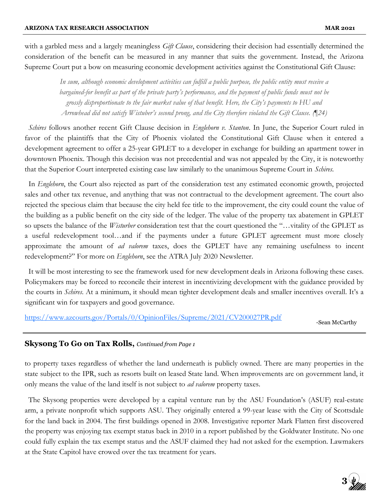with a garbled mess and a largely meaningless *Gift Clause*, considering their decision had essentially determined the consideration of the benefit can be measured in any manner that suits the government. Instead, the Arizona Supreme Court put a bow on measuring economic development activities against the Constitutional Gift Clause:

> In sum, although economic development activities can fulfill a public purpose, the public entity must receive a bargained-for benefit as part of the private party's performance, and the payment of public funds must not be grossly disproportionate to the fair market value of that benefit. Here, the City's payments to HU and Arrowhead did not satisfy Wistuber's second prong, and the City therefore violated the Gift Clause. (¶24)

Schires follows another recent Gift Clause decision in *Englehorn v. Stanton*. In June, the Superior Court ruled in favor of the plaintiffs that the City of Phoenix violated the Constitutional Gift Clause when it entered a development agreement to offer a 25-year GPLET to a developer in exchange for building an apartment tower in downtown Phoenix. Though this decision was not precedential and was not appealed by the City, it is noteworthy that the Superior Court interpreted existing case law similarly to the unanimous Supreme Court in *Schires*.

In *Englehorn*, the Court also rejected as part of the consideration test any estimated economic growth, projected sales and other tax revenue, and anything that was not contractual to the development agreement. The court also rejected the specious claim that because the city held fee title to the improvement, the city could count the value of the building as a public benefit on the city side of the ledger. The value of the property tax abatement in GPLET so upsets the balance of the *Wisturber* consideration test that the court questioned the "...vitality of the GPLET as a useful redevelopment tool…and if the payments under a future GPLET agreement must more closely approximate the amount of *ad valorem* taxes, does the GPLET have any remaining usefulness to incent redevelopment?" For more on *Englehorn*, see the ATRA July 2020 Newsletter.

 It will be most interesting to see the framework used for new development deals in Arizona following these cases. Policymakers may be forced to reconcile their interest in incentivizing development with the guidance provided by the courts in *Schires*. At a minimum, it should mean tighter development deals and smaller incentives overall. It's a significant win for taxpayers and good governance.

https://www.azcourts.gov/Portals/0/OpinionFiles/Supreme/2021/CV200027PR.pdf

-Sean McCarthy

#### **Skysong To Go on Tax Rolls,** Continued from Page 1

to property taxes regardless of whether the land underneath is publicly owned. There are many properties in the state subject to the IPR, such as resorts built on leased State land. When improvements are on government land, it only means the value of the land itself is not subject to *ad valorem* property taxes.

 The Skysong properties were developed by a capital venture run by the ASU Foundation's (ASUF) real-estate arm, a private nonprofit which supports ASU. They originally entered a 99-year lease with the City of Scottsdale for the land back in 2004. The first buildings opened in 2008. Investigative reporter Mark Flatten first discovered the property was enjoying tax exempt status back in 2010 in a report published by the Goldwater Institute. No one could fully explain the tax exempt status and the ASUF claimed they had not asked for the exemption. Lawmakers at the State Capitol have crowed over the tax treatment for years.

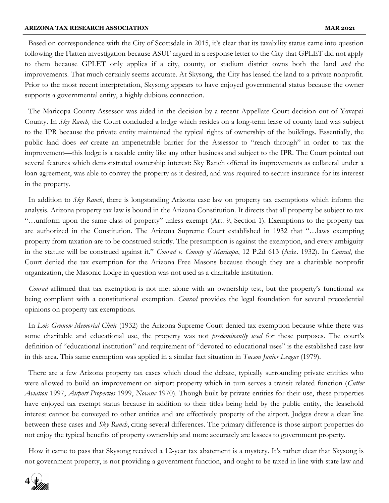Based on correspondence with the City of Scottsdale in 2015, it's clear that its taxability status came into question following the Flatten investigation because ASUF argued in a response letter to the City that GPLET did not apply to them because GPLET only applies if a city, county, or stadium district owns both the land *and* the improvements. That much certainly seems accurate. At Skysong, the City has leased the land to a private nonprofit. Prior to the most recent interpretation, Skysong appears to have enjoyed governmental status because the owner supports a governmental entity, a highly dubious connection.

 The Maricopa County Assessor was aided in the decision by a recent Appellate Court decision out of Yavapai County. In Sky Ranch, the Court concluded a lodge which resides on a long-term lease of county land was subject to the IPR because the private entity maintained the typical rights of ownership of the buildings. Essentially, the public land does not create an impenetrable barrier for the Assessor to "reach through" in order to tax the improvement—this lodge is a taxable entity like any other business and subject to the IPR. The Court pointed out several features which demonstrated ownership interest: Sky Ranch offered its improvements as collateral under a loan agreement, was able to convey the property as it desired, and was required to secure insurance for its interest in the property.

In addition to  $Sky$  Ranch, there is longstanding Arizona case law on property tax exemptions which inform the analysis. Arizona property tax law is bound in the Arizona Constitution. It directs that all property be subject to tax "…uniform upon the same class of property" unless exempt (Art. 9, Section 1). Exemptions to the property tax are authorized in the Constitution. The Arizona Supreme Court established in 1932 that "…laws exempting property from taxation are to be construed strictly. The presumption is against the exemption, and every ambiguity in the statute will be construed against it." Conrad v. County of Maricopa, 12 P.2d 613 (Ariz. 1932). In Conrad, the Court denied the tax exemption for the Arizona Free Masons because though they are a charitable nonprofit organization, the Masonic Lodge in question was not used as a charitable institution.

Conrad affirmed that tax exemption is not met alone with an ownership test, but the property's functional use being compliant with a constitutional exemption. *Conrad* provides the legal foundation for several precedential opinions on property tax exemptions.

In Lois Grunow Memorial Clinic (1932) the Arizona Supreme Court denied tax exemption because while there was some charitable and educational use, the property was not *predominantly used* for these purposes. The court's definition of "educational institution" and requirement of "devoted to educational uses" is the established case law in this area. This same exemption was applied in a similar fact situation in *Tucson Junior League* (1979).

 There are a few Arizona property tax cases which cloud the debate, typically surrounding private entities who were allowed to build an improvement on airport property which in turn serves a transit related function (Cutter Aviation 1997, Airport Properties 1999, Novasic 1970). Though built by private entities for their use, these properties have enjoyed tax exempt status because in addition to their titles being held by the public entity, the leasehold interest cannot be conveyed to other entities and are effectively property of the airport. Judges drew a clear line between these cases and Sky Ranch, citing several differences. The primary difference is those airport properties do not enjoy the typical benefits of property ownership and more accurately are lessees to government property.

 How it came to pass that Skysong received a 12-year tax abatement is a mystery. It's rather clear that Skysong is not government property, is not providing a government function, and ought to be taxed in line with state law and

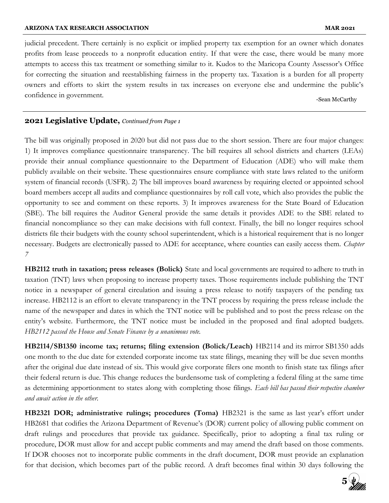judicial precedent. There certainly is no explicit or implied property tax exemption for an owner which donates profits from lease proceeds to a nonprofit education entity. If that were the case, there would be many more attempts to access this tax treatment or something similar to it. Kudos to the Maricopa County Assessor's Office for correcting the situation and reestablishing fairness in the property tax. Taxation is a burden for all property owners and efforts to skirt the system results in tax increases on everyone else and undermine the public's confidence in government.

-Sean McCarthy

#### **2021 Legislative Update, Continued from Page 1**

The bill was originally proposed in 2020 but did not pass due to the short session. There are four major changes: 1) It improves compliance questionnaire transparency. The bill requires all school districts and charters (LEAs) provide their annual compliance questionnaire to the Department of Education (ADE) who will make them publicly available on their website. These questionnaires ensure compliance with state laws related to the uniform system of financial records (USFR). 2) The bill improves board awareness by requiring elected or appointed school board members accept all audits and compliance questionnaires by roll call vote, which also provides the public the opportunity to see and comment on these reports. 3) It improves awareness for the State Board of Education (SBE). The bill requires the Auditor General provide the same details it provides ADE to the SBE related to financial noncompliance so they can make decisions with full context. Finally, the bill no longer requires school districts file their budgets with the county school superintendent, which is a historical requirement that is no longer necessary. Budgets are electronically passed to ADE for acceptance, where counties can easily access them. Chapter 7

HB2112 truth in taxation; press releases (Bolick) State and local governments are required to adhere to truth in taxation (TNT) laws when proposing to increase property taxes. Those requirements include publishing the TNT notice in a newspaper of general circulation and issuing a press release to notify taxpayers of the pending tax increase. HB2112 is an effort to elevate transparency in the TNT process by requiring the press release include the name of the newspaper and dates in which the TNT notice will be published and to post the press release on the entity's website. Furthermore, the TNT notice must be included in the proposed and final adopted budgets. HB2112 passed the House and Senate Finance by a unanimous vote.

HB2114/SB1350 income tax; returns; filing extension (Bolick/Leach) HB2114 and its mirror SB1350 adds one month to the due date for extended corporate income tax state filings, meaning they will be due seven months after the original due date instead of six. This would give corporate filers one month to finish state tax filings after their federal return is due. This change reduces the burdensome task of completing a federal filing at the same time as determining apportionment to states along with completing those filings. Each bill has passed their respective chamber and await action in the other.

HB2321 DOR; administrative rulings; procedures (Toma) HB2321 is the same as last year's effort under HB2681 that codifies the Arizona Department of Revenue's (DOR) current policy of allowing public comment on draft rulings and procedures that provide tax guidance. Specifically, prior to adopting a final tax ruling or procedure, DOR must allow for and accept public comments and may amend the draft based on those comments. If DOR chooses not to incorporate public comments in the draft document, DOR must provide an explanation for that decision, which becomes part of the public record. A draft becomes final within 30 days following the

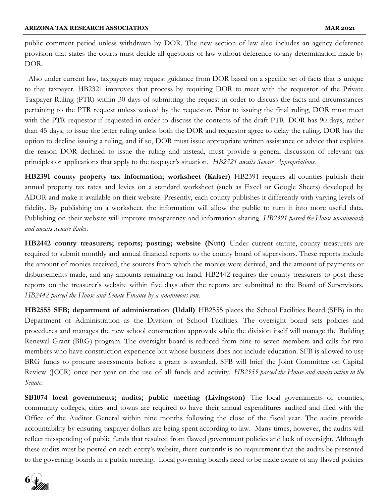public comment period unless withdrawn by DOR. The new section of law also includes an agency deference provision that states the courts must decide all questions of law without deference to any determination made by DOR.

 Also under current law, taxpayers may request guidance from DOR based on a specific set of facts that is unique to that taxpayer. HB2321 improves that process by requiring DOR to meet with the requestor of the Private Taxpayer Ruling (PTR) within 30 days of submitting the request in order to discuss the facts and circumstances pertaining to the PTR request unless waived by the requestor. Prior to issuing the final ruling, DOR must meet with the PTR requestor if requested in order to discuss the contents of the draft PTR. DOR has 90 days, rather than 45 days, to issue the letter ruling unless both the DOR and requestor agree to delay the ruling. DOR has the option to decline issuing a ruling, and if so, DOR must issue appropriate written assistance or advice that explains the reason DOR declined to issue the ruling and instead, must provide a general discussion of relevant tax principles or applications that apply to the taxpayer's situation. HB2321 awaits Senate Appropriations.

HB2391 county property tax information; worksheet (Kaiser) HB2391 requires all counties publish their annual property tax rates and levies on a standard worksheet (such as Excel or Google Sheets) developed by ADOR and make it available on their website. Presently, each county publishes it differently with varying levels of fidelity. By publishing on a worksheet, the information will allow the public to turn it into more useful data. Publishing on their website will improve transparency and information sharing. HB2391 passed the House unanimously and awaits Senate Rules.

HB2442 county treasurers; reports; posting; website (Nutt) Under current statute, county treasurers are required to submit monthly and annual financial reports to the county board of supervisors. These reports include the amount of monies received, the sources from which the monies were derived, and the amount of payments or disbursements made, and any amounts remaining on hand. HB2442 requires the county treasurers to post these reports on the treasurer's website within five days after the reports are submitted to the Board of Supervisors. HB2442 passed the House and Senate Finance by a unanimous vote.

HB2555 SFB; department of administration (Udall) HB2555 places the School Facilities Board (SFB) in the Department of Administration as the Division of School Facilities. The oversight board sets policies and procedures and manages the new school construction approvals while the division itself will manage the Building Renewal Grant (BRG) program. The oversight board is reduced from nine to seven members and calls for two members who have construction experience but whose business does not include education. SFB is allowed to use BRG funds to procure assessments before a grant is awarded. SFB will brief the Joint Committee on Capital Review (JCCR) once per year on the use of all funds and activity. HB2555 passed the House and awaits action in the Senate.

SB1074 local governments; audits; public meeting (Livingston) The local governments of counties, community colleges, cities and towns are required to have their annual expenditures audited and filed with the Office of the Auditor General within nine months following the close of the fiscal year. The audits provide accountability by ensuring taxpayer dollars are being spent according to law. Many times, however, the audits will reflect misspending of public funds that resulted from flawed government policies and lack of oversight. Although these audits must be posted on each entity's website, there currently is no requirement that the audits be presented to the governing boards in a public meeting. Local governing boards need to be made aware of any flawed policies

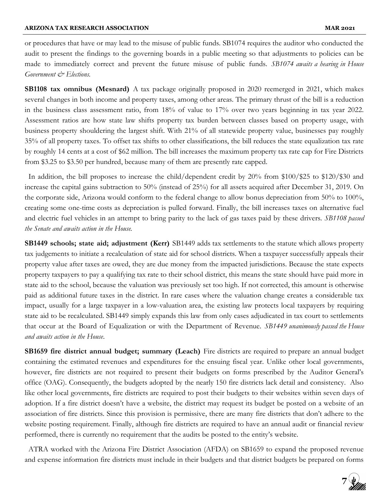or procedures that have or may lead to the misuse of public funds. SB1074 requires the auditor who conducted the audit to present the findings to the governing boards in a public meeting so that adjustments to policies can be made to immediately correct and prevent the future misuse of public funds. SB1074 awaits a hearing in House Government & Elections.

**SB1108 tax omnibus (Mesnard)** A tax package originally proposed in 2020 reemerged in 2021, which makes several changes in both income and property taxes, among other areas. The primary thrust of the bill is a reduction in the business class assessment ratio, from 18% of value to 17% over two years beginning in tax year 2022. Assessment ratios are how state law shifts property tax burden between classes based on property usage, with business property shouldering the largest shift. With 21% of all statewide property value, businesses pay roughly 35% of all property taxes. To offset tax shifts to other classifications, the bill reduces the state equalization tax rate by roughly 14 cents at a cost of \$62 million. The bill increases the maximum property tax rate cap for Fire Districts from \$3.25 to \$3.50 per hundred, because many of them are presently rate capped.

 In addition, the bill proposes to increase the child/dependent credit by 20% from \$100/\$25 to \$120/\$30 and increase the capital gains subtraction to 50% (instead of 25%) for all assets acquired after December 31, 2019. On the corporate side, Arizona would conform to the federal change to allow bonus depreciation from 50% to 100%, creating some one-time costs as depreciation is pulled forward. Finally, the bill increases taxes on alternative fuel and electric fuel vehicles in an attempt to bring parity to the lack of gas taxes paid by these drivers. SB1108 passed the Senate and awaits action in the House.

**SB1449 schools; state aid; adjustment (Kerr)** SB1449 adds tax settlements to the statute which allows property tax judgements to initiate a recalculation of state aid for school districts. When a taxpayer successfully appeals their property value after taxes are owed, they are due money from the impacted jurisdictions. Because the state expects property taxpayers to pay a qualifying tax rate to their school district, this means the state should have paid more in state aid to the school, because the valuation was previously set too high. If not corrected, this amount is otherwise paid as additional future taxes in the district. In rare cases where the valuation change creates a considerable tax impact, usually for a large taxpayer in a low-valuation area, the existing law protects local taxpayers by requiring state aid to be recalculated. SB1449 simply expands this law from only cases adjudicated in tax court to settlements that occur at the Board of Equalization or with the Department of Revenue. SB1449 unanimously passed the House and awaits action in the House.

**SB1659 fire district annual budget; summary (Leach)** Fire districts are required to prepare an annual budget containing the estimated revenues and expenditures for the ensuing fiscal year. Unlike other local governments, however, fire districts are not required to present their budgets on forms prescribed by the Auditor General's office (OAG). Consequently, the budgets adopted by the nearly 150 fire districts lack detail and consistency. Also like other local governments, fire districts are required to post their budgets to their websites within seven days of adoption. If a fire district doesn't have a website, the district may request its budget be posted on a website of an association of fire districts. Since this provision is permissive, there are many fire districts that don't adhere to the website posting requirement. Finally, although fire districts are required to have an annual audit or financial review performed, there is currently no requirement that the audits be posted to the entity's website.

 ATRA worked with the Arizona Fire District Association (AFDA) on SB1659 to expand the proposed revenue and expense information fire districts must include in their budgets and that district budgets be prepared on forms

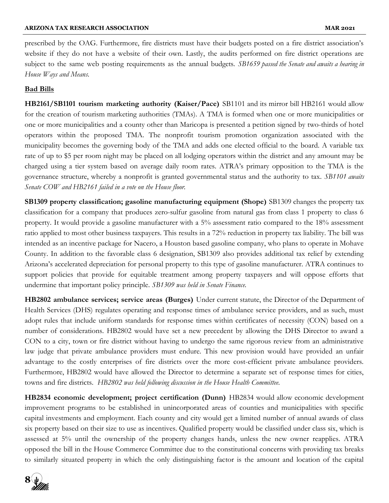prescribed by the OAG. Furthermore, fire districts must have their budgets posted on a fire district association's website if they do not have a website of their own. Lastly, the audits performed on fire district operations are subject to the same web posting requirements as the annual budgets. SB1659 passed the Senate and awaits a hearing in House Ways and Means.

#### Bad Bills

HB2161/SB1101 tourism marketing authority (Kaiser/Pace) SB1101 and its mirror bill HB2161 would allow for the creation of tourism marketing authorities (TMAs). A TMA is formed when one or more municipalities or one or more municipalities and a county other than Maricopa is presented a petition signed by two-thirds of hotel operators within the proposed TMA. The nonprofit tourism promotion organization associated with the municipality becomes the governing body of the TMA and adds one elected official to the board. A variable tax rate of up to \$5 per room night may be placed on all lodging operators within the district and any amount may be charged using a tier system based on average daily room rates. ATRA's primary opposition to the TMA is the governance structure, whereby a nonprofit is granted governmental status and the authority to tax. SB1101 awaits Senate COW and HB2161 failed in a vote on the House floor.

SB1309 property classification; gasoline manufacturing equipment (Shope) SB1309 changes the property tax classification for a company that produces zero-sulfur gasoline from natural gas from class 1 property to class 6 property. It would provide a gasoline manufacturer with a 5% assessment ratio compared to the 18% assessment ratio applied to most other business taxpayers. This results in a 72% reduction in property tax liability. The bill was intended as an incentive package for Nacero, a Houston based gasoline company, who plans to operate in Mohave County. In addition to the favorable class 6 designation, SB1309 also provides additional tax relief by extending Arizona's accelerated depreciation for personal property to this type of gasoline manufacturer. ATRA continues to support policies that provide for equitable treatment among property taxpayers and will oppose efforts that undermine that important policy principle. SB1309 was held in Senate Finance.

HB2802 ambulance services; service areas (Burges) Under current statute, the Director of the Department of Health Services (DHS) regulates operating and response times of ambulance service providers, and as such, must adopt rules that include uniform standards for response times within certificates of necessity (CON) based on a number of considerations. HB2802 would have set a new precedent by allowing the DHS Director to award a CON to a city, town or fire district without having to undergo the same rigorous review from an administrative law judge that private ambulance providers must endure. This new provision would have provided an unfair advantage to the costly enterprises of fire districts over the more cost-efficient private ambulance providers. Furthermore, HB2802 would have allowed the Director to determine a separate set of response times for cities, towns and fire districts. HB2802 was held following discussion in the House Health Committee.

HB2834 economic development; project certification (Dunn) HB2834 would allow economic development improvement programs to be established in unincorporated areas of counties and municipalities with specific capital investments and employment. Each county and city would get a limited number of annual awards of class six property based on their size to use as incentives. Qualified property would be classified under class six, which is assessed at 5% until the ownership of the property changes hands, unless the new owner reapplies. ATRA opposed the bill in the House Commerce Committee due to the constitutional concerns with providing tax breaks to similarly situated property in which the only distinguishing factor is the amount and location of the capital